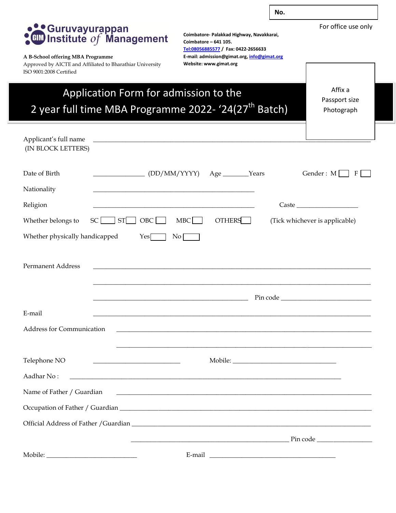

For office use only

# **CONTROVISION**<br>**CONTROVISIONS**<br>**CONTROVISIONS**

#### **A B-School offering MBA Programme**

Approved by AICTE and Affiliated to Bharathiar University ISO 9001:2008 Certified

**Coimbatore- Palakkad Highway, Navakkarai, Coimbatore – 641 105. <Tel:08056885577> / Fax: 0422-2656633 E-mail: admission@gimat.org[, info@gimat.org](mailto:info@gimat.org) Website: www.gimat.org**

## Application Form for admission to the 2 year full time MBA Programme 2022- '24(27<sup>th</sup> Batch)

Affix a Passport size Photograph

| Applicant's full name            | <u> 2000 - Jan James James Barnett, amerikansk politik (d. 1888)</u> |                                                             |                 |                  |  |                                |   |
|----------------------------------|----------------------------------------------------------------------|-------------------------------------------------------------|-----------------|------------------|--|--------------------------------|---|
| (IN BLOCK LETTERS)               |                                                                      |                                                             |                 |                  |  |                                |   |
| Date of Birth                    | $\begin{CD}$ (DD/MM/YYYY)                                            |                                                             |                 | Age _______Years |  | Gender: M                      | F |
| Nationality                      |                                                                      |                                                             |                 |                  |  |                                |   |
| Religion                         |                                                                      |                                                             |                 |                  |  | $\text{Case} \_\_\_\_\_\_\_\$  |   |
| Whether belongs to               | <b>ST</b><br>SC                                                      | OBC                                                         | <b>MBC</b>      | <b>OTHERS</b>    |  | (Tick whichever is applicable) |   |
| Whether physically handicapped   |                                                                      | Yes                                                         | No <sub>l</sub> |                  |  |                                |   |
| <b>Permanent Address</b>         |                                                                      | <u> 1989 - Johann Stoff, amerikansk politiker (d. 1989)</u> |                 |                  |  |                                |   |
|                                  |                                                                      |                                                             |                 |                  |  |                                |   |
| E-mail                           |                                                                      |                                                             |                 |                  |  |                                |   |
| <b>Address for Communication</b> |                                                                      |                                                             |                 |                  |  |                                |   |
| Telephone NO                     |                                                                      |                                                             |                 |                  |  |                                |   |
| Aadhar No:                       | <u> 1989 - Johann John Stone, Amerikaansk politiker (* 1908)</u>     |                                                             |                 |                  |  |                                |   |
| Name of Father / Guardian        |                                                                      |                                                             |                 |                  |  |                                |   |
|                                  |                                                                      |                                                             |                 |                  |  |                                |   |
|                                  |                                                                      |                                                             |                 |                  |  |                                |   |
|                                  |                                                                      |                                                             |                 |                  |  |                                |   |
|                                  |                                                                      |                                                             |                 |                  |  |                                |   |